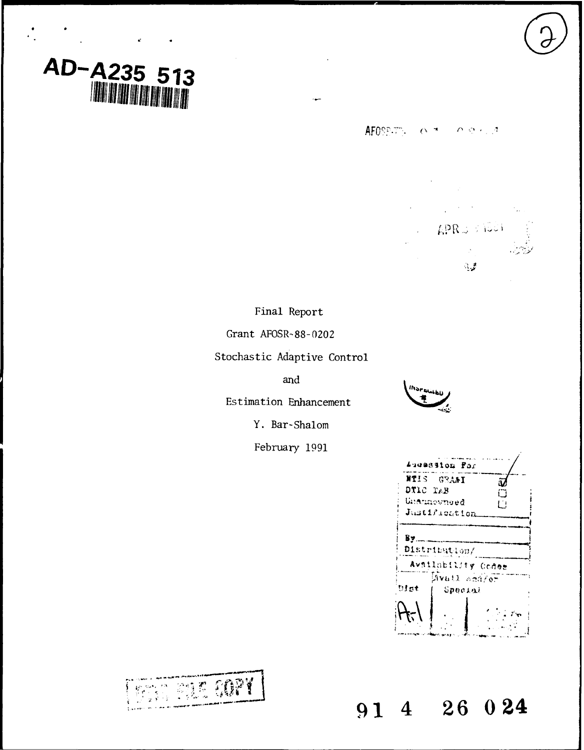# *AD-A235* **513**

**AFOSPITY:**  $O(7) = O(9 \times 12)$ 

**APRO STOCK** 

् ह

Final Report

Grant **AFOSR-88-0202**

Stochastic Adaptive Control

and

Estimation Enhancement

Y. Bar-Shalom

February 1991



| Augession Far      |  |
|--------------------|--|
| NTIS GRAFI         |  |
| DTIC TAB<br>Ο      |  |
| Unatinovnoed<br>ĽI |  |
| Justification      |  |
|                    |  |
| Bv.,               |  |
| Distribution/      |  |
| Avsilability Codes |  |
| Avail scaler       |  |
| Dlat<br>Special    |  |
|                    |  |
|                    |  |

**'91 4 26 024**

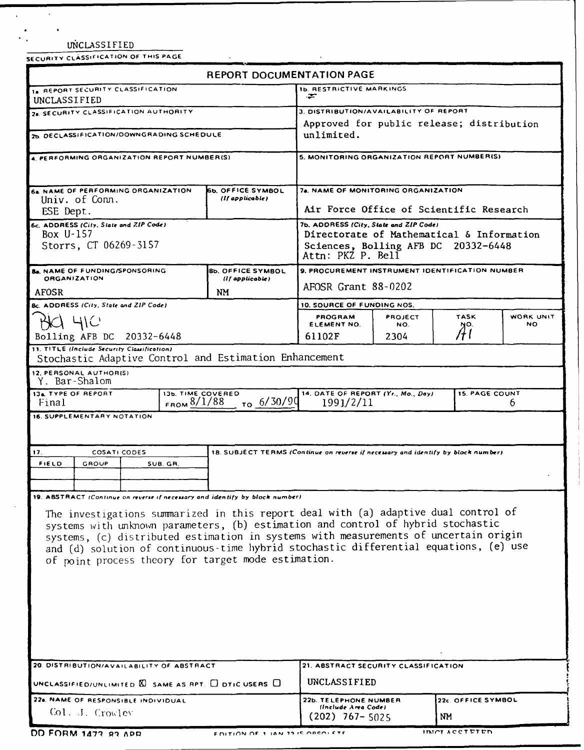|                                                                                       | ÷                                                                                        |                                                                                              |                                                                                                                                                                 |                                                                                                                                                                                                                                                                                                                                                                                     |  |                                            |
|---------------------------------------------------------------------------------------|------------------------------------------------------------------------------------------|----------------------------------------------------------------------------------------------|-----------------------------------------------------------------------------------------------------------------------------------------------------------------|-------------------------------------------------------------------------------------------------------------------------------------------------------------------------------------------------------------------------------------------------------------------------------------------------------------------------------------------------------------------------------------|--|--------------------------------------------|
| UNCLASSIFIED<br>28. SECURITY CLASSIFICATION AUTHORITY                                 |                                                                                          |                                                                                              |                                                                                                                                                                 |                                                                                                                                                                                                                                                                                                                                                                                     |  |                                            |
| 2b. DECLASSIFICATION/DOWNGRADING SCHEDULE                                             |                                                                                          | Approved for public release; distribution<br>unlimited.                                      |                                                                                                                                                                 |                                                                                                                                                                                                                                                                                                                                                                                     |  |                                            |
|                                                                                       |                                                                                          |                                                                                              |                                                                                                                                                                 |                                                                                                                                                                                                                                                                                                                                                                                     |  | 4 PERFORMING ORGANIZATION REPORT NUMBER(S) |
|                                                                                       |                                                                                          |                                                                                              |                                                                                                                                                                 |                                                                                                                                                                                                                                                                                                                                                                                     |  |                                            |
|                                                                                       |                                                                                          |                                                                                              |                                                                                                                                                                 |                                                                                                                                                                                                                                                                                                                                                                                     |  |                                            |
| (If applicable)                                                                       |                                                                                          |                                                                                              |                                                                                                                                                                 |                                                                                                                                                                                                                                                                                                                                                                                     |  |                                            |
|                                                                                       |                                                                                          |                                                                                              |                                                                                                                                                                 |                                                                                                                                                                                                                                                                                                                                                                                     |  |                                            |
| <b>6c. ADDRESS (City, State and ZIP Code)</b>                                         |                                                                                          |                                                                                              | 7b. ADDRESS (City, State and ZIP Code)                                                                                                                          |                                                                                                                                                                                                                                                                                                                                                                                     |  |                                            |
| Box U-157<br>Storrs, CT 06269-3157                                                    |                                                                                          |                                                                                              | Directorate of Mathematical & Information                                                                                                                       |                                                                                                                                                                                                                                                                                                                                                                                     |  |                                            |
|                                                                                       |                                                                                          |                                                                                              | Attn: PKZ P. Bell                                                                                                                                               |                                                                                                                                                                                                                                                                                                                                                                                     |  |                                            |
| <b>Bb. OFFICE SYMBOL</b>                                                              |                                                                                          |                                                                                              |                                                                                                                                                                 |                                                                                                                                                                                                                                                                                                                                                                                     |  |                                            |
|                                                                                       |                                                                                          |                                                                                              |                                                                                                                                                                 |                                                                                                                                                                                                                                                                                                                                                                                     |  |                                            |
|                                                                                       |                                                                                          |                                                                                              |                                                                                                                                                                 |                                                                                                                                                                                                                                                                                                                                                                                     |  |                                            |
| Bc. ADDRESS (City, State and ZIP Code)<br>4IC                                         |                                                                                          |                                                                                              | <b>TASK</b>                                                                                                                                                     | WORK UNIT                                                                                                                                                                                                                                                                                                                                                                           |  |                                            |
|                                                                                       | ELEMENT NO.                                                                              | NO.                                                                                          |                                                                                                                                                                 | NO.                                                                                                                                                                                                                                                                                                                                                                                 |  |                                            |
|                                                                                       |                                                                                          |                                                                                              |                                                                                                                                                                 |                                                                                                                                                                                                                                                                                                                                                                                     |  |                                            |
|                                                                                       |                                                                                          |                                                                                              |                                                                                                                                                                 |                                                                                                                                                                                                                                                                                                                                                                                     |  |                                            |
|                                                                                       |                                                                                          |                                                                                              |                                                                                                                                                                 |                                                                                                                                                                                                                                                                                                                                                                                     |  |                                            |
|                                                                                       |                                                                                          |                                                                                              |                                                                                                                                                                 |                                                                                                                                                                                                                                                                                                                                                                                     |  |                                            |
|                                                                                       |                                                                                          |                                                                                              |                                                                                                                                                                 | 6                                                                                                                                                                                                                                                                                                                                                                                   |  |                                            |
|                                                                                       |                                                                                          |                                                                                              |                                                                                                                                                                 |                                                                                                                                                                                                                                                                                                                                                                                     |  |                                            |
|                                                                                       |                                                                                          |                                                                                              |                                                                                                                                                                 |                                                                                                                                                                                                                                                                                                                                                                                     |  |                                            |
|                                                                                       |                                                                                          |                                                                                              |                                                                                                                                                                 |                                                                                                                                                                                                                                                                                                                                                                                     |  |                                            |
|                                                                                       |                                                                                          |                                                                                              |                                                                                                                                                                 |                                                                                                                                                                                                                                                                                                                                                                                     |  |                                            |
|                                                                                       |                                                                                          |                                                                                              |                                                                                                                                                                 |                                                                                                                                                                                                                                                                                                                                                                                     |  |                                            |
|                                                                                       |                                                                                          |                                                                                              |                                                                                                                                                                 |                                                                                                                                                                                                                                                                                                                                                                                     |  |                                            |
|                                                                                       |                                                                                          |                                                                                              |                                                                                                                                                                 |                                                                                                                                                                                                                                                                                                                                                                                     |  |                                            |
| 19. ABSTRACT (Continue on reverse if necessary and identify by block number)          |                                                                                          |                                                                                              |                                                                                                                                                                 |                                                                                                                                                                                                                                                                                                                                                                                     |  |                                            |
| The investigations summarized in this report deal with (a) adaptive dual control of   |                                                                                          |                                                                                              |                                                                                                                                                                 |                                                                                                                                                                                                                                                                                                                                                                                     |  |                                            |
| systems with unknown parameters, (b) estimation and control of hybrid stochastic      |                                                                                          |                                                                                              |                                                                                                                                                                 |                                                                                                                                                                                                                                                                                                                                                                                     |  |                                            |
| systems, (c) distributed estimation in systems with measurements of uncertain origin  |                                                                                          |                                                                                              |                                                                                                                                                                 |                                                                                                                                                                                                                                                                                                                                                                                     |  |                                            |
| and (d) solution of continuous-time hybrid stochastic differential equations, (e) use |                                                                                          |                                                                                              |                                                                                                                                                                 |                                                                                                                                                                                                                                                                                                                                                                                     |  |                                            |
| of point process theory for target mode estimation.                                   |                                                                                          |                                                                                              |                                                                                                                                                                 |                                                                                                                                                                                                                                                                                                                                                                                     |  |                                            |
|                                                                                       |                                                                                          |                                                                                              |                                                                                                                                                                 |                                                                                                                                                                                                                                                                                                                                                                                     |  |                                            |
|                                                                                       |                                                                                          |                                                                                              |                                                                                                                                                                 |                                                                                                                                                                                                                                                                                                                                                                                     |  |                                            |
|                                                                                       |                                                                                          |                                                                                              |                                                                                                                                                                 |                                                                                                                                                                                                                                                                                                                                                                                     |  |                                            |
|                                                                                       |                                                                                          |                                                                                              |                                                                                                                                                                 |                                                                                                                                                                                                                                                                                                                                                                                     |  |                                            |
|                                                                                       |                                                                                          |                                                                                              |                                                                                                                                                                 |                                                                                                                                                                                                                                                                                                                                                                                     |  |                                            |
|                                                                                       |                                                                                          |                                                                                              |                                                                                                                                                                 |                                                                                                                                                                                                                                                                                                                                                                                     |  |                                            |
| 20. DISTRIBUTION/AVAILABILITY OF ABSTRACT                                             | 21. ABSTRACT SECURITY CLASSIFICATION                                                     |                                                                                              |                                                                                                                                                                 |                                                                                                                                                                                                                                                                                                                                                                                     |  |                                            |
| UNCLASSIFIED/UNLIMITED $\boxtimes$ SAME AS RPT, $\Box$ DTIC USERS $\Box$              | UNCLASSIFIED                                                                             |                                                                                              |                                                                                                                                                                 |                                                                                                                                                                                                                                                                                                                                                                                     |  |                                            |
|                                                                                       | <b>66. OFFICE SYMBOL</b><br>(If applicable)<br>NM.<br>13b. TIME COVERED<br>FROM $8/1/88$ | PROGRAM<br>61102F<br>Stochastic Adaptive Control and Estimation Enhancement<br>$T_0$ 6/30/90 | <b>REPORT DOCUMENTATION PAGE</b><br><b>1b. RESTRICTIVE MARKINGS</b><br>AFOSR Grant 88-0202<br>10. SOURCE OF FUNDING NOS.<br><b>PROJECT</b><br>2304<br>1991/2/11 | 3. DISTRIBUTION/AVAILABILITY OF REPORT<br>7a. NAME OF MONITORING ORGANIZATION<br>Air Force Office of Scientific Research<br>Sciences, Bolling AFB DC 20332-6448<br>9. PROCUREMENT INSTRUMENT IDENTIFICATION NUMBER<br>NO.<br>Aí<br>14. DATE OF REPORT (Yr., Mo., Day)<br><b>15. PAGE COUNT</b><br>18. SUBJECT TERMS (Continue on reverse if necessary and identify by block number) |  |                                            |

Col. J. Crowley **Collapse 2020** (202) 767- 5025

 $\mathcal{A}^{\mathcal{A}}$ 

 $\overline{\phantom{a}}$ 

 $\sim 10$ 

**OD FORM 1473 93 APR FOLLOW OF LIAN 22 IS OBSOLETE THE REAL FINICIAL ACCTRTRIN** 

MM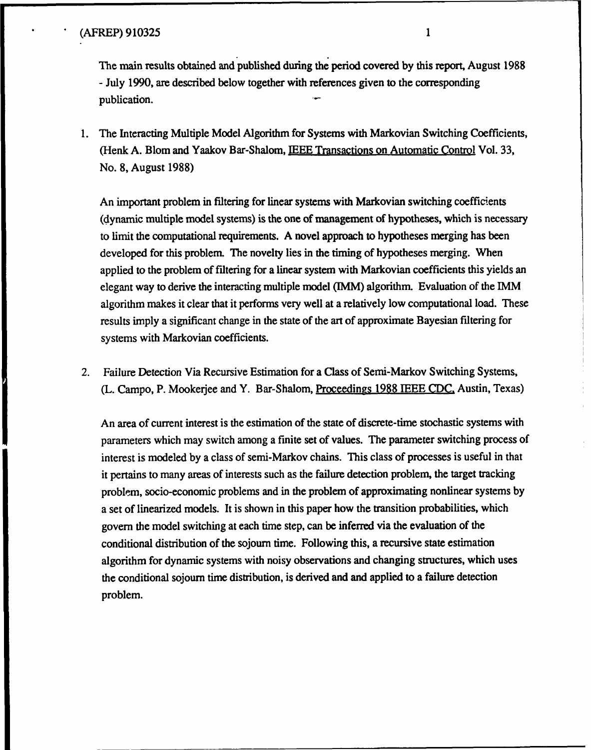The main results obtained and published during the period covered **by** this report, August **1988 -** July **1990,** are described below together with references given to the corresponding publication.

1. **The** Interacting Multiple Model Algorithm for Systems with Markovian Switching Coefficients, (Henk **A.** Blom and Yaakov Bar-Shalom, **IEEE** Transactions on Automatic Control Vol. **33,** No. **8,** August **1988)**

An important problem in filtering for linear systems with Markovian switching coefficients (dynamic multiple model systems) is the one of management of hypotheses, which is necessary to limit the computational requirements. **A** novel approach to hypotheses merging has been developed for this problem. The novelty lies in the timing of hypotheses merging. When applied to the problem of filtering for a linear system with Markovian coefficients this yields an elegant way to derive the interacting multiple model (HMM) algorithm. Evaluation of the **DMM** algorithm makes it clear that it performs very well at a relatively low computational load. These results imply a significant change in the state of the art of approximate Bayesian filtering for systems with Markovian coefficients.

2. Failure Detection Via Recursive Estimation for a Class of Semi-Markov Switching Systems, (L. Campo, P. Mookerjee and Y. Bar-Shalom, Proceedings **1988 IEEE CDC.** Austin, Texas)

An area of current interest is the estimation of the state of discrete-time stochastic systems with parameters which may switch among a finite set of values. The parameter switching process of interest is modeled **by** a class of semi-Markov chains. This class of processes is useful in that it pertains to many areas of interests such as the failure detection problem, the target tracking problem, socio-economic problems and in the problem of approximating nonlinear systems **by** a set of linearized models. It is shown in this paper how the transition probabilities, which govern the model switching at each time step, can be inferred via the evaluation of the conditional distribution of the sojourn time. Following this, a recursive state estimation algorithm for dynamic systems with noisy observations and changing structures, which uses the conditional sojourn time distribution, is derived and and applied to a failure detection problem.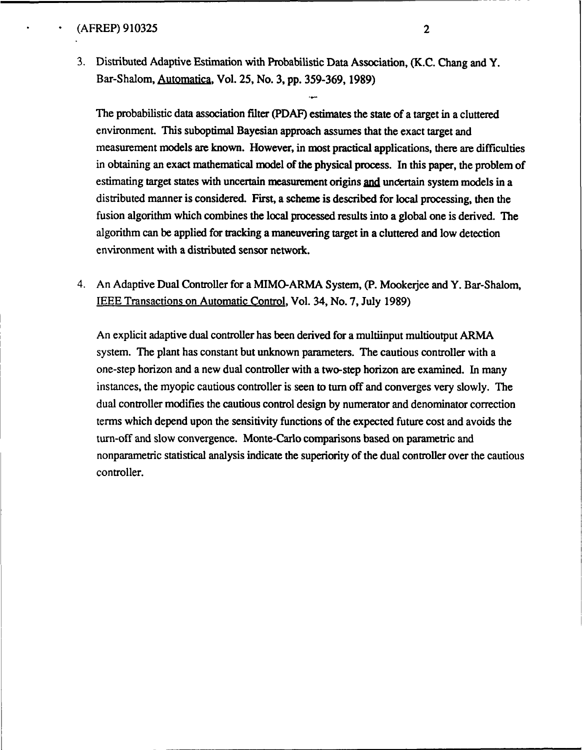3. Distributed Adaptive Estimation with Probabilistic Data Association, (K.C. Chang and Y. Bar-Shalom, Automatica, Vol. 25, No. 3, pp. 359-369, 1989)

The probabilistic data association filter (PDAF) estimates the state of a target in a cluttered environment. This suboptimal Bayesian approach assumes that the exact target and measurement models are known. However, in most practical applications, there are difficulties in obtaining an exact mathematical model of the physical process. In this paper, the problem of estimating target states with uncertain measurement origins and uncertain system models in a distributed manner is considered. First, a scheme is described for local processing, then the fusion algorithm which combines the local processed results into a global one is derived. The algorithm can be applied for tracking a maneuvering target in a cluttered and low detection environment with a distributed sensor network.

4. An Adaptive Dual Controller for a MIMO-ARMA System, (P. Mookerjee and Y. Bar-Shalom, IEEE Transactions on Automatic Control, Vol. 34, No. 7, July 1989)

An explicit adaptive dual controller has been derived for a multiinput multioutput ARMA system. The plant has constant but unknown parameters. The cautious controller with a one-step horizon and a new dual controller with a two-step horizon are examined. In many instances, the myopic cautious controller is seen to turn off and converges very slowly. The dual controller modifies the cautious control design by numerator and denominator correction terms which depend upon the sensitivity functions of the expected future cost and avoids the turn-off and slow convergence. Monte-Carlo comparisons based on parametric and nonparametric statistical analysis indicate the superiority of the dual controller over the cautious controller.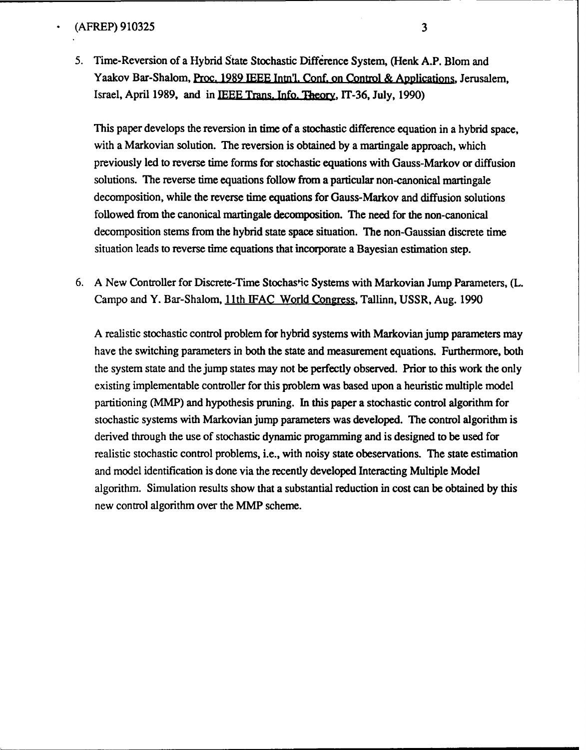5. Time-Reversion of a Hybrid State Stochastic Difference System, (Henk A.P. Blom and Yaakov Bar-Shalom, Proc. **1989 IEEE** Inm'l. Conf. on Control & Applications Jerusalem, Israel, April **1989,** and in **IEEE** Trans. Info. **33ory, IT-36,** July, **1990)**

This paper develops the reversion in time of a stochastic difference equation in a hybrid space, with a Markovian solution. **The** reversion is obtained **by** a martingale approach, which previously led to reverse time forms for stochastic equations with Gauss-Markov or diffusion solutions. The reverse time equations follow from a particular non-canonical martingale decomposition, while the reverse time equations for Gauss-Markov and diffusion solutions followed from the canonical martingale decomposition. The need for the non-canonical decomposition stems from the hybrid state space situation. The non-Gaussian discrete time situation leads to reverse time equations that incorporate a Bayesian estimation step.

**6. A** New Controller for Discrete-Time Stochastic Systems with Markovian Jump Parameters, (L. Campo and Y. Bar-Shalom, **11** th **IFAG** World Conress, Tallinn, **USSR,** Aug. **1990**

**A** realistic stochastic control problem for hybrid systems with Markovian jump parameters may have the switching parameters in both the state and measurement equations. Furthermore, both the system state and the jump states may not be perfectly observed. Prior **to** this work the only existing implementable controller for this problem was based upon a heuristic multiple model partitioning (MMP) and hypothesis pruning. In this paper a stochastic control algorithm for stochastic systems with Markovian jump parameters was developed. The control algorithm is derived through the use of stochastic dynamic progamming and is designed to be used for realistic stochastic control problems, i.e., with noisy state obeservations. The state estimation and model identification is done via the recently developed Interacting Multiple Model algorithm. Simulation results show that a substantial reduction in cost can be obtained **by** this new control algorithm over the MMP scheme.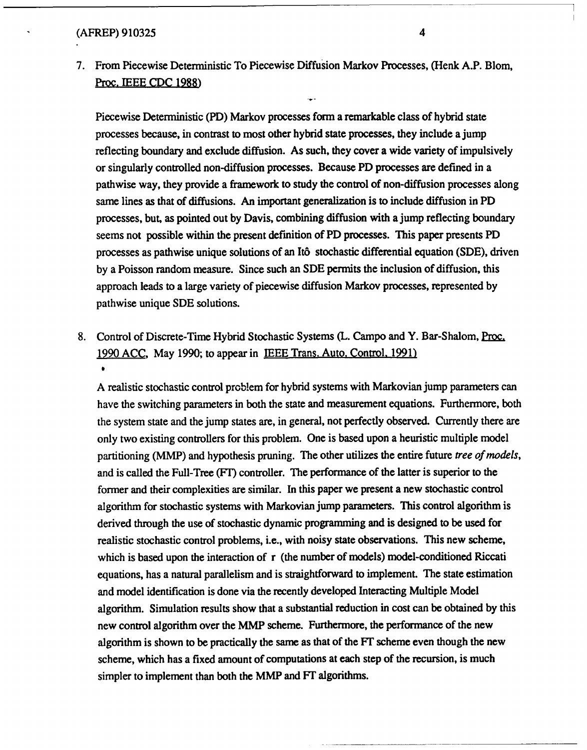**7.** From Piecewise Deterministic To Piecewise Diffusion Markov Processes, (Henk A.P. Blom, Proc. **IEEE CDC 1988)**

Piecewise Deterministic (PD) Markov processes form a remarkable class of hybrid state processes because, in contrast to most other hybrid state processes, they include a jump reflecting boundary and exclude diffusion. As such, they cover a wide variety of impulsively or singularly controlled non-diffusion processes. Because PD processes are defined in a pathwise way, they provide a framework to study the control of non-diffusion processes along same lines as that of diffusions. An important generalization is to include diffusion in PD processes, but, as pointed out **by** Davis, combining diffusion with a jump reflecting boundary seems not possible within the present definition of PD processes. This paper presents PD processes as pathwise unique solutions of an **It6** stochastic differential equation **(SDE),** driven **by** a Poisson random measure. Since such an **SDE** permits the inclusion of diffusion, this approach leads to a large variety of piecewise diffusion Markov processes, represented **by** pathwise unique **SDE** solutions.

8. Control of Discrete-Time Hybrid Stochastic Systems (L. Campo and Y. Bar-Shalom, Proc. 1990 **ACC,** May **1990;** to appear in **IEEE** Trans. Auto. Control. **1991) 6**

**A** realistic stochastic control problem for hybrid systems with Markovian jump parameters can have the switching parameters in both the state and measurement equations. Furthermore, both the system state and the jump states are, in general, not perfectly observed. Currently there are only two existing controllers for this problem. One is based upon a heuristic multiple model partitioning (MMP) and hypothesis pruning. The other utilizes the entire future *tree of models,* and is called the Full-Tree (FT) controller. The performance of the latter is superior to the former and their complexities are similar. In this paper we present a new stochastic control algorithm for stochastic systems with Markovian jump parameters. This control algorithm is derived through the use of stochastic dynamic programming and is designed to be used for realistic stochastic control problems, i.e., with noisy state observations. This new scheme, which is based upon the interaction of r (the number of models) model-conditioned Riccati equations, has a natural parallelism and is straightforward to implement. The state estimation and model identification is done via the recently developed Interacting Multiple Model algorithm. Simulation results show that a substantial reduction in cost can be obtained **by** this new control algorithm over the MMP scheme. Furthermore, the performance of the new algorithm is shown to be practically the same as that of the FT scheme even though the new scheme, which has a fixed amount of computations at each step of the recursion, is much simpler to implement than both the MMP and FT algorithms.